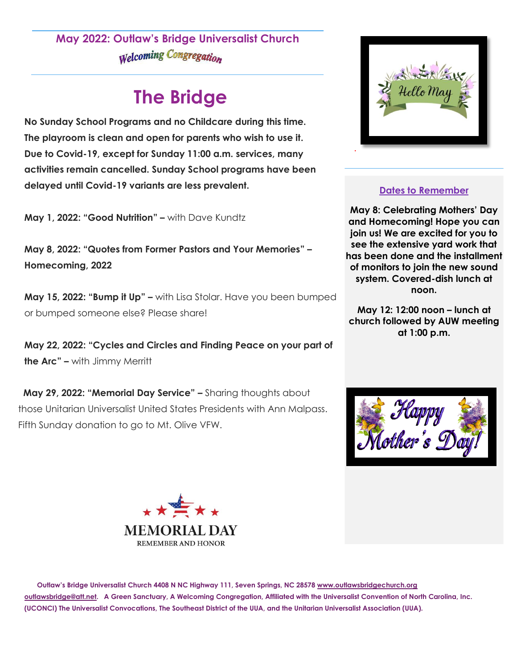## **May 2022: Outlaw's Bridge Universalist Church Welcoming Congregation**

# **The Bridge**

**No Sunday School Programs and no Childcare during this time. The playroom is clean and open for parents who wish to use it. Due to Covid-19, except for Sunday 11:00 a.m. services, many activities remain cancelled. Sunday School programs have been delayed until Covid-19 variants are less prevalent.**

**May 1, 2022: "Good Nutrition" –** with Dave Kundtz

**May 8, 2022: "Quotes from Former Pastors and Your Memories" – Homecoming, 2022**

**May 15, 2022: "Bump it Up" –** with Lisa Stolar. Have you been bumped or bumped someone else? Please share!

**May 22, 2022: "Cycles and Circles and Finding Peace on your part of the Arc" –** with Jimmy Merritt

 **May 29, 2022: "Memorial Day Service" –** Sharing thoughts about those Unitarian Universalist United States Presidents with Ann Malpass. Fifth Sunday donation to go to Mt. Olive VFW.



### **Dates to Remember**

**May 8: Celebrating Mothers' Day and Homecoming! Hope you can join us! We are excited for you to see the extensive yard work that has been done and the installment of monitors to join the new sound system. Covered-dish lunch at noon.** 

**May 12: 12:00 noon – lunch at church followed by AUW meeting at 1:00 p.m.**





 **Outlaw's Bridge Universalist Church 4408 N NC Highway 111, Seven Springs, NC 2857[8 www.outlawsbridgechurch.org](http://www.outlawsbridgechurch.org/)  [outlawsbridge@att.net.](mailto:outlawsbridge@att.net) A Green Sanctuary, A Welcoming Congregation, Affiliated with the Universalist Convention of North Carolina, Inc. (UCONCI) The Universalist Convocations, The Southeast District of the UUA, and the Unitarian Universalist Association (UUA).**